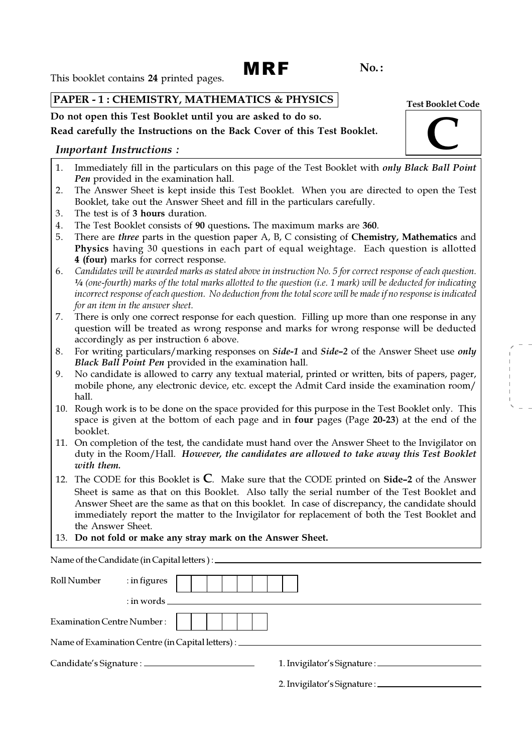# MRF

 $No.$ :

This booklet contains 24 printed pages.

### PAPER - 1 : CHEMISTRY, MATHEMATICS & PHYSICS

Do not open this Test Booklet until you are asked to do so.

### Read carefully the Instructions on the Back Cover of this Test Booklet.

### Important Instructions :

- 1. Immediately fill in the particulars on this page of the Test Booklet with *only Black Ball Point* Pen provided in the examination hall.
- 2. The Answer Sheet is kept inside this Test Booklet. When you are directed to open the Test Booklet, take out the Answer Sheet and fill in the particulars carefully.
- 3. The test is of 3 hours duration.
- 4. The Test Booklet consists of 90 questions. The maximum marks are 360.
- 5. There are *three* parts in the question paper A, B, C consisting of Chemistry, Mathematics and Physics having 30 questions in each part of equal weightage. Each question is allotted 4 (four) marks for correct response.
- 6. Candidates will be awarded marks as stated above in instruction No. 5 for correct response of each question. ¼ (one-fourth) marks of the total marks allotted to the question (i.e. 1 mark) will be deducted for indicating incorrect response of each question. No deduction from the total score will be made if no response is indicated for an item in the answer sheet.
- 7. There is only one correct response for each question. Filling up more than one response in any question will be treated as wrong response and marks for wrong response will be deducted accordingly as per instruction 6 above.
- 8. For writing particulars/marking responses on Side-1 and Side-2 of the Answer Sheet use only Black Ball Point Pen provided in the examination hall.
- 9. No candidate is allowed to carry any textual material, printed or written, bits of papers, pager, mobile phone, any electronic device, etc. except the Admit Card inside the examination room/ hall.
- 10. Rough work is to be done on the space provided for this purpose in the Test Booklet only. This space is given at the bottom of each page and in four pages (Page 20-23) at the end of the booklet.
- 11. On completion of the test, the candidate must hand over the Answer Sheet to the Invigilator on duty in the Room/Hall. However, the candidates are allowed to take away this Test Booklet with them.
- 12. The CODE for this Booklet is  $C$ . Make sure that the CODE printed on Side-2 of the Answer Sheet is same as that on this Booklet. Also tally the serial number of the Test Booklet and Answer Sheet are the same as that on this booklet. In case of discrepancy, the candidate should immediately report the matter to the Invigilator for replacement of both the Test Booklet and the Answer Sheet.
- 13. Do not fold or make any stray mark on the Answer Sheet.

| Roll Number                       | : in figures |                                                                |  |  |
|-----------------------------------|--------------|----------------------------------------------------------------|--|--|
|                                   |              | $\therefore$ in words $\qquad$                                 |  |  |
| <b>Examination Centre Number:</b> |              |                                                                |  |  |
|                                   |              | Name of Examination Centre (in Capital letters) : ____________ |  |  |
|                                   |              |                                                                |  |  |
|                                   |              |                                                                |  |  |

Test Booklet Code C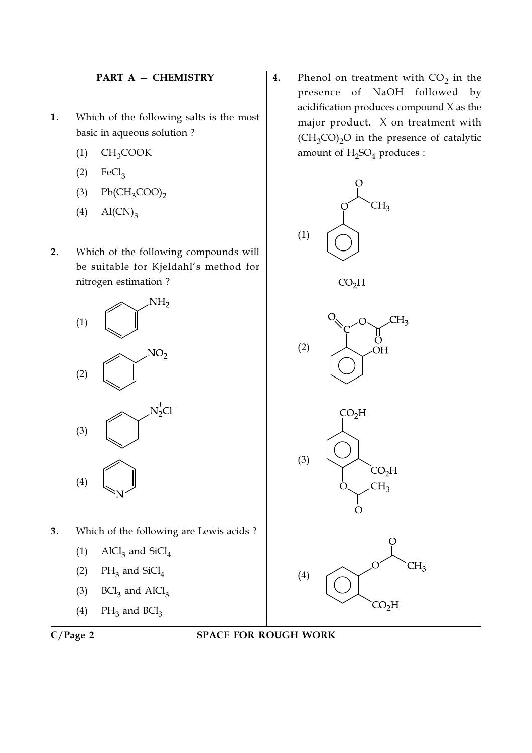### PART A — CHEMISTRY

- 1. Which of the following salts is the most basic in aqueous solution ?
	- $(1)$  CH<sub>3</sub>COOK
	- $P(2)$  FeCl<sub>3</sub>
	- $Pb(CH_3COO)$ <sub>2</sub>
	- (4)  $\text{Al(CN)}_{3}$
- 2. Which of the following compounds will be suitable for Kjeldahl's method for nitrogen estimation ?



- 3. Which of the following are Lewis acids ?
	- (1)  $\text{AICl}_3$  and  $\text{SiCl}_4$
	- (2)  $PH_3$  and  $SiCl_4$
	- (3)  $BCl<sub>3</sub>$  and  $AICl<sub>3</sub>$
	- (4)  $PH_3$  and  $BCl_3$



**4.** Phenol on treatment with  $CO_2$  in the presence of NaOH followed by acidification produces compound X as the major product. X on treatment with  $(CH_3CO)_2O$  in the presence of catalytic amount of  $\rm H_2SO_4$  produces :



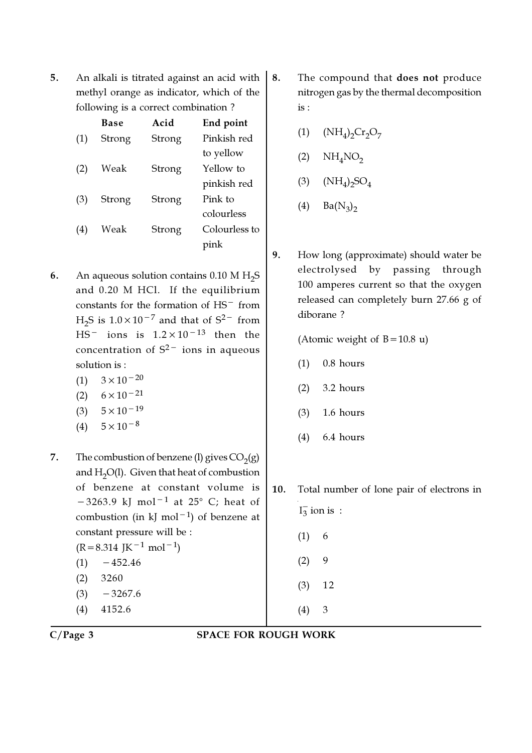5. An alkali is titrated against an acid with methyl orange as indicator, which of the following is a correct combination ?

| Base   | Acid   | End point     |
|--------|--------|---------------|
| Strong | Strong | Pinkish red   |
|        |        | to yellow     |
| Weak   | Strong | Yellow to     |
|        |        | pinkish red   |
| Strong | Strong | Pink to       |
|        |        | colourless    |
| Weak   | Strong | Colourless to |
|        |        | pink          |
|        |        |               |

- **6.** An aqueous solution contains  $0.10 \text{ M H}_2\text{S}$ and 0.20 M HCl. If the equilibrium constants for the formation of HS− from  $H_2S$  is  $1.0 \times 10^{-7}$  and that of  $S^2$ <sup>-</sup> from HS− ions is 1.2×10−13 then the concentration of S2− ions in aqueous solution is :
	- (1)  $3 \times 10^{-20}$
	- $(2)$  6×10<sup>-21</sup>
	- (3)  $5 \times 10^{-19}$
	- $(4)$  5×10<sup>-8</sup>
- 7. The combustion of benzene (1) gives  $CO<sub>2</sub>(g)$ and  $H<sub>2</sub>O(1)$ . Given that heat of combustion of benzene at constant volume is  $-3263.9$  kJ mol<sup>-1</sup> at 25° C; heat of combustion (in kJ mol−<sup>1</sup> ) of benzene at constant pressure will be :  $(R=8.314 \text{ J} \text{K}^{-1} \text{ mol}^{-1})$  $(1)$  −452.46 (2) 3260
	- $(3)$  −3267.6
	- (4) 4152.6
- 8. The compound that **does not** produce nitrogen gas by the thermal decomposition is :
	- (1)  $(NH_4)_2Cr_2O_7$
	- (2)  $NH<sub>4</sub>NO<sub>2</sub>$
	- (3)  $(NH_4)_2SO_4$
	- (4)  $Ba(N_3)_2$
- 9. How long (approximate) should water be electrolysed by passing through 100 amperes current so that the oxygen released can completely burn 27.66 g of diborane ?

(Atomic weight of  $B=10.8$  u)

- (1) 0.8 hours
- (2) 3.2 hours
- (3) 1.6 hours
- (4) 6.4 hours
- 10. Total number of lone pair of electrons in

 $(2) 9$ (3) 12

(4) 3

 $(1) 6$ 

 $I_3^-$  ion is:

C/Page 3 SPACE FOR ROUGH WORK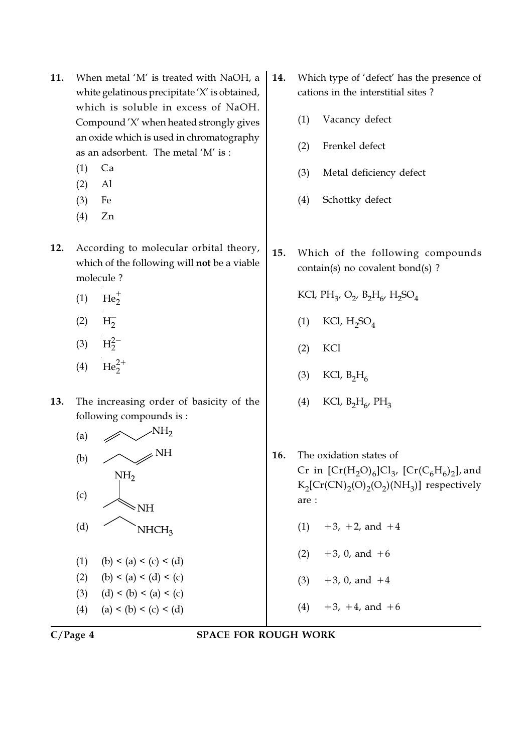- 11. When metal 'M' is treated with NaOH, a white gelatinous precipitate 'X' is obtained, which is soluble in excess of NaOH. Compound 'X' when heated strongly gives an oxide which is used in chromatography as an adsorbent. The metal 'M' is :
	- (1) Ca
	- (2) Al
	- (3) Fe
	- (4) Zn
- 12. According to molecular orbital theory, which of the following will not be a viable molecule ?
	- (1)  $He_2^+$
	- $(2) \quad H_2^-$
	- $(3)$   $H_2^{2-}$
	- (4)  $\text{He}_2^{2+}$
- 13. The increasing order of basicity of the following compounds is :



(1) (b) < (a) < (c) < (d) (2) (b) < (a) < (d) < (c) (3)  $(d) < (b) < (a) < (c)$ (4) (a) < (b) < (c) < (d)

- 14. Which type of 'defect' has the presence of cations in the interstitial sites ?
	- (1) Vacancy defect
	- (2) Frenkel defect
	- (3) Metal deficiency defect
	- (4) Schottky defect
- 15. Which of the following compounds contain(s) no covalent bond(s) ?

KCl, PH<sub>3</sub>, O<sub>2</sub>, B<sub>2</sub>H<sub>6</sub>, H<sub>2</sub>SO<sub>4</sub>

- (1) KCl,  $H_2SO_4$
- (2) KCl
- (3) KCl,  $B_2H_6$
- (4) KCl,  $B_2H_6$ ,  $PH_3$
- 16. The oxidation states of Cr in  $[\text{Cr}(\text{H}_2\text{O})_6] \text{Cl}_3$ ,  $[\text{Cr}(\text{C}_6\text{H}_6)_2]$ , and  $K_2[\text{Cr(CN)}_2(\text{O})_2(\text{OH}_3)]$  respectively are :
	- $(1)$  +3, +2, and +4
	- $(2)$  +3, 0, and +6
	- $(3)$  +3, 0, and +4
	- $(4)$  +3, +4, and +6

C/Page 4 SPACE FOR ROUGH WORK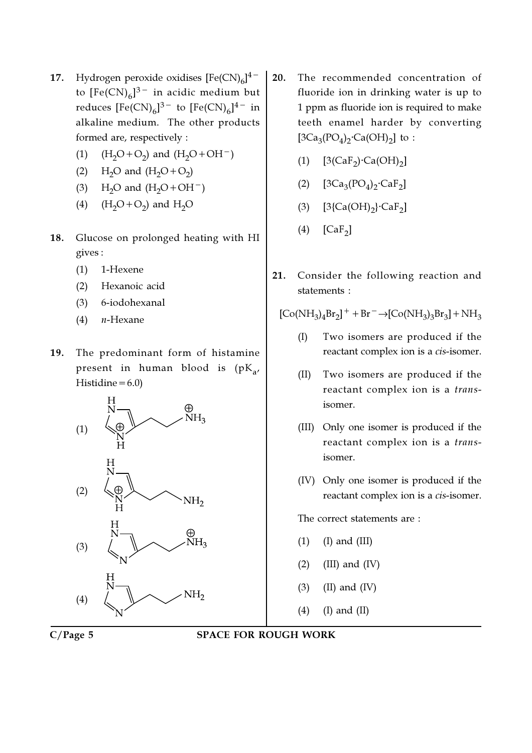- 17. Hydrogen peroxide oxidises  $[Fe(CN)_6]^{4-}$ to  $[{\rm Fe(CN)}_6]^{3-}$  in acidic medium but reduces  $[{\rm Fe(CN)}_6]^{3-}$  to  $[{\rm Fe(CN)}_6]^{4-}$  in alkaline medium. The other products formed are, respectively :
	- (1)  $(H_2O + O_2)$  and  $(H_2O + OH^-)$
	- (2)  $H_2O$  and  $(H_2O + O_2)$
	- (3) H<sub>2</sub>O and  $(H_2O+OH^-)$
	- (4)  $(H_2O + O_2)$  and  $H_2O$
- 18. Glucose on prolonged heating with HI gives :
	- (1) 1-Hexene
	- (2) Hexanoic acid
	- (3) 6-iodohexanal
	- $(4)$  *n*-Hexane
- 19. The predominant form of histamine present in human blood is (pK<sub>a</sub>, Histidine $=6.0$ )



- 20. The recommended concentration of fluoride ion in drinking water is up to 1 ppm as fluoride ion is required to make teeth enamel harder by converting [3Ca<sub>3</sub>(PO<sub>4</sub>)<sub>2</sub>·Ca(OH)<sub>2</sub>] to:
	- (1)  $[3(CaF_2) \cdot Ca(OH)_2]$
	- (2)  $[3Ca_3(PO_4)_2 \text{·}Ca_5]$
	- (3)  $[3{Ca(OH)}_2]{CaF}_2]$
	- (4)  $[CaF<sub>2</sub>]$
- 21. Consider the following reaction and statements :

 $[Co(NH_3)_4Br_2]^{+} + Br^{-} \rightarrow [Co(NH_3)_3Br_3] + NH_3$ 

- (I) Two isomers are produced if the reactant complex ion is a cis-isomer.
- (II) Two isomers are produced if the reactant complex ion is a transisomer.
- (III) Only one isomer is produced if the reactant complex ion is a transisomer.
- (IV) Only one isomer is produced if the reactant complex ion is a cis-isomer.

The correct statements are :

- $(1)$   $(I)$  and  $(III)$
- $(2)$  (III) and (IV)
- $(3)$  (II) and (IV)
- (4) (I) and (II)

### C/Page 5 SPACE FOR ROUGH WORK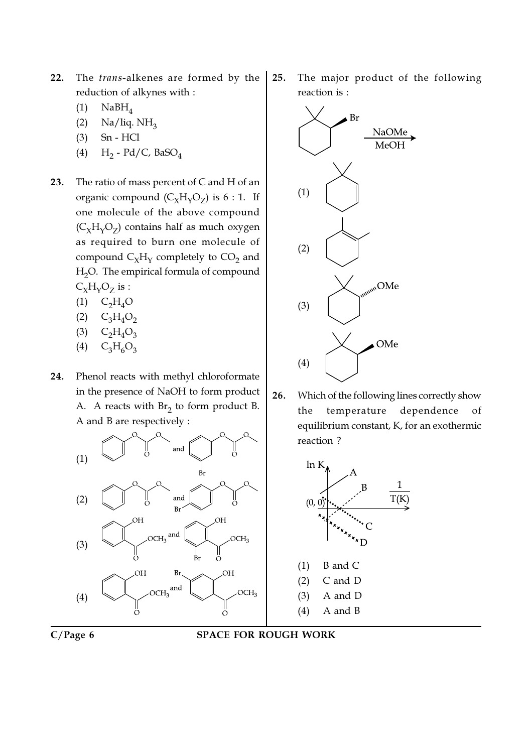- 22. The trans-alkenes are formed by the reduction of alkynes with :
	- $(1)$  NaBH<sub>4</sub>
	- (2) Na/liq.  $NH<sub>3</sub>$
	- (3) Sn HCl
	- (4)  $H_2$  Pd/C, BaSO<sub>4</sub>
- 23. The ratio of mass percent of C and H of an organic compound  $(C_{\chi}H_{\gamma}O_Z)$  is 6 : 1. If one molecule of the above compound  $(C_{\chi}H_{\gamma}O_Z)$  contains half as much oxygen as required to burn one molecule of compound  $\mathsf{C}_{\chi}\mathsf{H}_{\gamma}$  completely to  $\mathsf{CO}_{2}$  and H<sub>2</sub>O. The empirical formula of compound  $C_{\chi}H_{\gamma}O_{Z}$  is :
	- $(1)$  C<sub>2</sub>H<sub>4</sub>O
	- $(C_3H_4O_2)$
	- $(C_2H_4O_3)$
	- $(4)$  C<sub>3</sub>H<sub>6</sub>O<sub>3</sub>
- 24. Phenol reacts with methyl chloroformate in the presence of NaOH to form product A. A reacts with  $Br_2$  to form product B. A and B are respectively :



25. The major product of the following reaction is :



26. Which of the following lines correctly show the temperature dependence of equilibrium constant, K, for an exothermic reaction ?

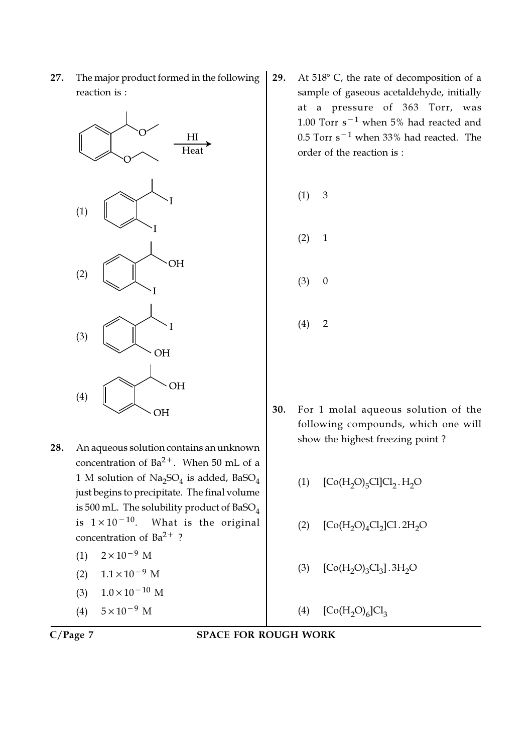

- 28. An aqueous solution contains an unknown concentration of  $Ba^{2+}$ . When 50 mL of a  $1$  M solution of  $\operatorname{Na_2SO_4}$  is added, BaSO $_4$ just begins to precipitate. The final volume is 500 mL. The solubility product of  $BaSO<sub>4</sub>$ is  $1 \times 10^{-10}$ . What is the original concentration of  $Ba^{2+}$ ?
	- $(1)$  2×10<sup>-9</sup> M
	- $(2)$  1.1×10<sup>-9</sup> M
	- (3)  $1.0 \times 10^{-10}$  M
	- $(4)$  5×10<sup>-9</sup> M

$$
C/Page\ 7
$$

29. At  $518^{\circ}$  C, the rate of decomposition of a sample of gaseous acetaldehyde, initially at a pressure of 363 Torr, was 1.00 Torr s−<sup>1</sup> when 5% had reacted and 0.5 Torr s−<sup>1</sup> when 33% had reacted. The order of the reaction is :

$$
(1) 3
$$
  

$$
(2) 1
$$
  

$$
(3) 0
$$

- $(4) 2$
- 30. For 1 molal aqueous solution of the following compounds, which one will show the highest freezing point ?
	- (1)  $[Co(H_2O)_5Cl]Cl_2.H_2O$
	- (2)  $[Co(H<sub>2</sub>O)<sub>4</sub>Cl<sub>2</sub>]Cl. 2H<sub>2</sub>O$
	- (3)  $[Co(H_2O)_3Cl_3]$ . 3H<sub>2</sub>O
	- (4)  $[Co(H<sub>2</sub>O)<sub>6</sub>]Cl<sub>3</sub>$
- SPACE FOR ROUGH WORK

27. The major product formed in the following reaction is :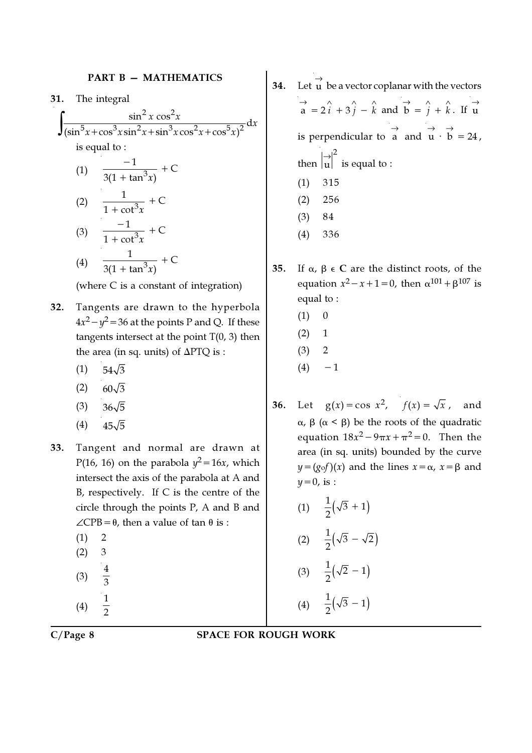### PART B - MATHEMATICS

31. The integral

$$
\int \frac{\sin^2 x \cos^2 x}{\left(\sin^5 x + \cos^3 x \sin^2 x + \sin^3 x \cos^2 x + \cos^5 x\right)^2} dx
$$
  
is equal to :

(1) 
$$
\frac{-1}{3(1 + \tan^3 x)} + C
$$
  
(2) 
$$
\frac{1}{1 + \cot^3 x} + C
$$
  
(3) 
$$
\frac{-1}{1 + \cot^3 x} + C
$$
  
(4) 
$$
\frac{1}{3(1 + \tan^3 x)} + C
$$

(where C is a constant of integration)

- 32. Tangents are drawn to the hyperbola  $4x^2 - y^2 = 36$  at the points P and Q. If these tangents intersect at the point  $T(0, 3)$  then the area (in sq. units) of ∆PTQ is :
	- $(1)$  54 $\sqrt{3}$
	- $(2)$  60 $\sqrt{3}$
	- $(3)$   $36\sqrt{5}$
	- $(4)$  45 $\sqrt{5}$
- 33. Tangent and normal are drawn at P(16, 16) on the parabola  $y^2 = 16x$ , which intersect the axis of the parabola at A and B, respectively. If C is the centre of the circle through the points P, A and B and  $\angle$ CPB= $\theta$ , then a value of tan  $\theta$  is :
	- $(1) 2$
	- (2) 3
	- (3) 4 3 1
	- (4) 2
- 34. Let  $\overrightarrow{u}$  be a vector coplanar with the vectors  $\vec{a} = 2\hat{i} + 3\hat{j} - \hat{k}$  and  $\vec{b} = \hat{j} + \hat{k}$ . If  $\vec{u}$ is perpendicular to  $\overrightarrow{a}$  and  $\overrightarrow{u} \cdot \overrightarrow{b} = 24$ , then 2 u → is equal to : (1) 315 (2) 256 (3) 84 (4) 336
- 35. If  $\alpha$ ,  $\beta$   $\in$  C are the distinct roots, of the equation  $x^2 - x + 1 = 0$ , then  $\alpha^{101} + \beta^{107}$  is equal to :
	- $(1) 0$
	- $(2) 1$
	- $(3) 2$
	- $(4) -1$
- **36.** Let  $g(x) = \cos x^2$ ,  $f(x) = \sqrt{x}$ , and α, β (α < β) be the roots of the quadratic equation  $18x^2-9\pi x+\pi^2=0$ . Then the area (in sq. units) bounded by the curve  $y=(g \circ f)(x)$  and the lines  $x=\alpha$ ,  $x=\beta$  and  $y=0$ , is :
	- (1)  $\frac{1}{2}(\sqrt{3} + 1)$ 2 + (2)  $\frac{1}{2}(\sqrt{3}-\sqrt{2})$ 2 − (3)  $\frac{1}{2}(\sqrt{2}-1)$  $\overline{2}$ −
	- (4)  $\frac{1}{2}(\sqrt{3}-1)$ 2 −

C/Page 8 SPACE FOR ROUGH WORK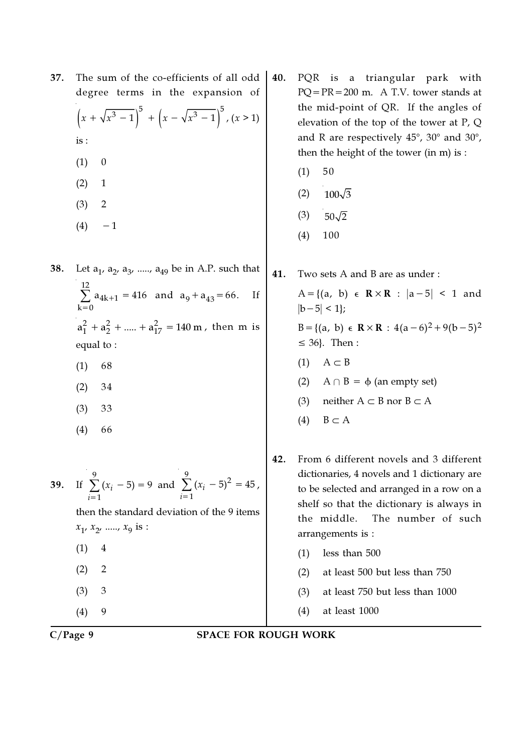| 37. | The sum of the co-efficients of all odd |                                                                                     |  |  |  |  |
|-----|-----------------------------------------|-------------------------------------------------------------------------------------|--|--|--|--|
|     |                                         | degree terms in the expansion of                                                    |  |  |  |  |
|     |                                         | $\left(x + \sqrt{x^3 - 1}\right)^5 + \left(x - \sqrt{x^3 - 1}\right)^5$ , $(x > 1)$ |  |  |  |  |
|     | is:                                     |                                                                                     |  |  |  |  |
|     | (1)                                     |                                                                                     |  |  |  |  |
|     | (2)                                     | $\mathbf{1}$                                                                        |  |  |  |  |
|     | (3)                                     | 2                                                                                   |  |  |  |  |
|     | (4)                                     |                                                                                     |  |  |  |  |
|     |                                         |                                                                                     |  |  |  |  |

- **38.** Let  $a_1$ ,  $a_2$ ,  $a_3$ , .....,  $a_{49}$  be in A.P. such that 12  $4k+1$  $k = 0$  $\sum a_{4k+1} = 416$  $\sum_{n=0}$  a<sub>4k+1</sub> = 416 and a<sub>9</sub> + a<sub>43</sub> = 66. If  $a_1^2 + a_2^2 + ..... + a_{17}^2 = 140 \text{ m}$ , then m is equal to :
	- (1) 68
	- (2) 34
	- (3) 33
	- (4) 66

39. If 
$$
\sum_{i=1}^{9} (x_i - 5) = 9
$$
 and  $\sum_{i=1}^{9} (x_i - 5)^2 = 45$ ,  
then the standard deviation of the 9 items  
 $x_1, x_2, \dots, x_9$  is :  
(1) 4  
(2) 2  
(3) 3  
(4) 9

- PQR is a triangular park with PQ=PR=200 m. A T.V. tower stands at the mid-point of QR. If the angles of elevation of the top of the tower at P, Q and R are respectively  $45^{\circ}$ ,  $30^{\circ}$  and  $30^{\circ}$ , then the height of the tower (in m) is :
	- $(1) 50$
	- $(2)$  100 $\sqrt{3}$
	- $(3)$  50 $\sqrt{2}$
	- (4) 100
- 41. Two sets A and B are as under : A={(a, b)  $\in$  R × R :  $|a-5|$  < 1 and  $|b-5| < 1$ ; B={(a, b)  $\in \mathbb{R} \times \mathbb{R} : 4(a-6)^2 + 9(b-5)^2$  $\leq$  36}. Then :  $(1)$  A  $\subset$  B
	- (2)  $A \cap B = \phi$  (an empty set)
	- (3) neither  $A \subset B$  nor  $B \subset A$
	- $(4)$  B  $\subset$  A
- 42. From 6 different novels and 3 different dictionaries, 4 novels and 1 dictionary are to be selected and arranged in a row on a shelf so that the dictionary is always in the middle. The number of such arrangements is :
	- (1) less than 500
	- (2) at least 500 but less than 750
	- (3) at least 750 but less than 1000
	- (4) at least 1000
- C/Page 9 SPACE FOR ROUGH WORK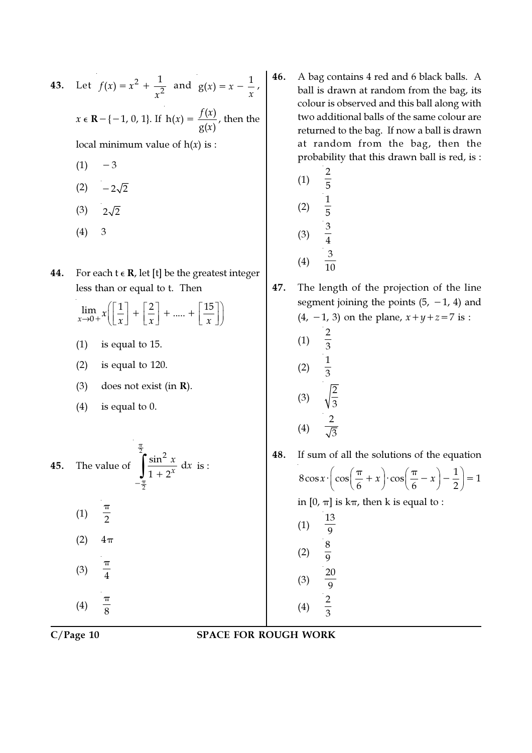43. Let 
$$
f(x) = x^2 + \frac{1}{x^2}
$$
 and  $g(x) = x - \frac{1}{x}$ ,  
\n $x \in \mathbb{R} - \{-1, 0, 1\}$ . If  $h(x) = \frac{f(x)}{g(x)}$ , then the  
\nlocal minimum value of  $h(x)$  is :

- $(1) -3$
- $(2) -2\sqrt{2}$
- $(3)$   $2\sqrt{2}$
- (4) 3
- **44.** For each  $t \in \mathbb{R}$ , let [t] be the greatest integer less than or equal to t. Then

$$
\lim_{x \to 0+} x \left[ \frac{1}{x} \right] + \left[ \frac{2}{x} \right] + \dots + \left[ \frac{15}{x} \right]
$$

 $\hat{x}$  is :

- (1) is equal to 15.
- (2) is equal to 120.
- (3) does not exist (in R).

π

(4) is equal to 0.

45. The value of  $\int \frac{\sin^2 x}{1} dx$  $\overline{2}$  $\frac{1}{1 + 2^{x}}$  $\int \frac{\sin^2 x}{1+2^x}$  $-\frac{\pi}{4}$ +  $(1) \frac{1}{2}$ π  $(2)$  4π

$$
(3) \quad \frac{\pi}{4}
$$
\n
$$
(4) \quad \frac{\pi}{8}
$$

- 46. A bag contains 4 red and 6 black balls. A ball is drawn at random from the bag, its colour is observed and this ball along with two additional balls of the same colour are returned to the bag. If now a ball is drawn at random from the bag, then the probability that this drawn ball is red, is :
	- (1) 2 5 (2) 1 5 (3) 3 4 (4) 3 10

47. The length of the projection of the line segment joining the points  $(5, -1, 4)$  and (4, −1, 3) on the plane,  $x + y + z = 7$  is :

(1) 
$$
\frac{2}{3}
$$
  
\n(2)  $\frac{1}{3}$   
\n(3)  $\sqrt{\frac{2}{3}}$   
\n(4)  $\frac{2}{\sqrt{3}}$ 

48. If sum of all the solutions of the equation  $8\cos x \cdot \left(\cos\left(\frac{\pi}{2}+x\right)\cdot\cos\left(\frac{\pi}{2}-x\right)-\frac{1}{2}\right)=1$  $x \cdot \left( \cos \left( \frac{\pi}{6} + x \right) \cdot \cos \left( \frac{\pi}{6} - x \right) - \frac{1}{2} \right) =$ in  $[0, \pi]$  is  $k\pi$ , then k is equal to : (1) 13 9 (2) 8 9 20

$$
C/Page\ 10
$$

C/Page 10 SPACE FOR ROUGH WORK

(3)

(4)

9

2 3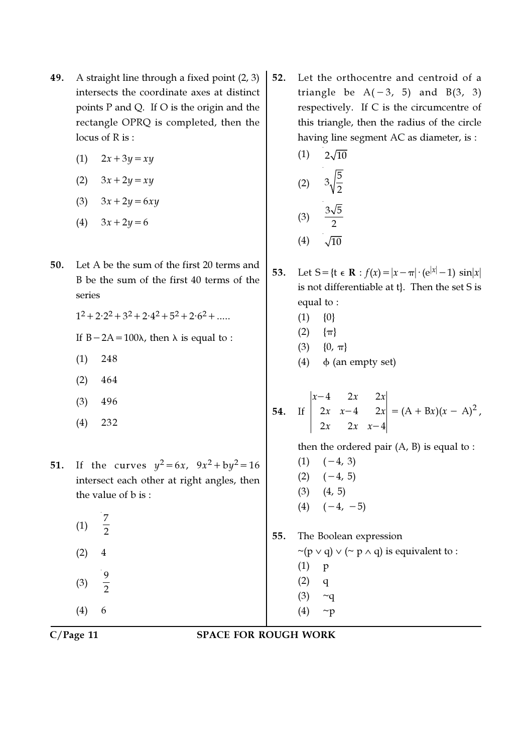- 49. A straight line through a fixed point (2, 3) intersects the coordinate axes at distinct points P and Q. If O is the origin and the rectangle OPRQ is completed, then the locus of R is :
	- (1)  $2x + 3y = xy$
	- (2)  $3x + 2y = xy$
	- (3)  $3x + 2y = 6xy$
	- (4)  $3x+2y=6$
- 50. Let A be the sum of the first 20 terms and B be the sum of the first 40 terms of the series

 $1^2 + 2 \cdot 2^2 + 3^2 + 2 \cdot 4^2 + 5^2 + 2 \cdot 6^2 + \dots$ 

- If  $B 2A = 100\lambda$ , then  $\lambda$  is equal to :
- (1) 248
- (2) 464
- (3) 496
- (4) 232
- **51.** If the curves  $y^2 = 6x$ ,  $9x^2 + by^2 = 16$ intersect each other at right angles, then the value of b is :
	- (1) 7 2  $(2) 4$ (3) 9  $\overline{2}$

(4) 6

52. Let the orthocentre and centroid of a triangle be  $A(-3, 5)$  and  $B(3, 3)$ respectively. If C is the circumcentre of this triangle, then the radius of the circle having line segment AC as diameter, is :

(1) 
$$
2\sqrt{10}
$$
  
\n(2)  $3\sqrt{\frac{5}{2}}$   
\n(3)  $\frac{3\sqrt{5}}{2}$   
\n(4)  $\sqrt{10}$ 

- 53. Let S= $\{t \in \mathbf{R} : f(x) = |x \pi| \cdot (e^{|x|} 1) \sin|x|$ is not differentiable at t}. Then the set S is equal to :
	- $(1) \{0\}$
	- $(2)$   $\{\pi\}$
	- (3)  $\{0, \pi\}$
	- (4)  $\phi$  (an empty set)

54. If 
$$
\begin{vmatrix} x-4 & 2x & 2x \ 2x & x-4 & 2x \ 2x & 2x & x-4 \ \end{vmatrix} = (A + Bx)(x - A)^2,
$$

then the ordered pair  $(A, B)$  is equal to :

 $(1)$   $(-4, 3)$  $(2)$   $(-4, 5)$  $(3)$   $(4, 5)$  $(4)$   $(-4, -5)$ 

55. The Boolean expression

 $\sim$ (p  $\vee$  q)  $\vee$  ( $\sim$  p  $\wedge$  q) is equivalent to :

- (1) p
- $(2)$  q
- $(3)$  ~q
- $(4)$  ~p
- 

C/Page 11 SPACE FOR ROUGH WORK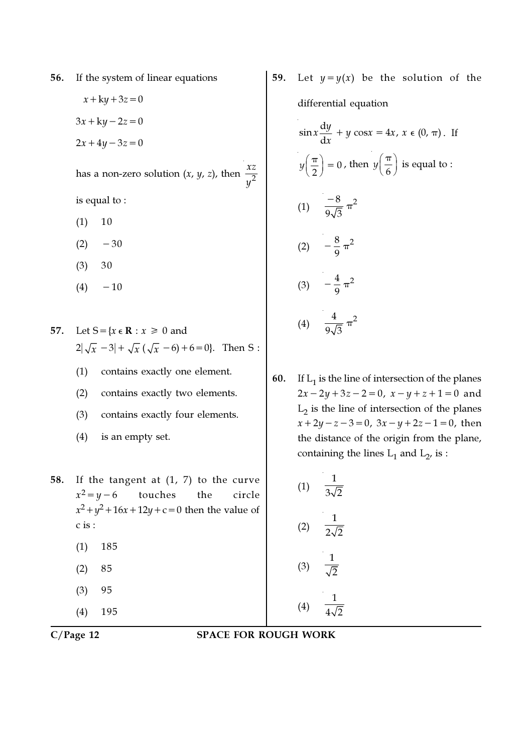56. If the system of linear equations

 $x + ky + 3z = 0$  $3x+ky-2z=0$  $2x+4y-3z=0$ 

has a non-zero solution  $(x, y, z)$ , then  $\frac{xz}{\sqrt{2}}$ y

is equal to :

- $(1) 10$
- $(2)$  −30
- (3) 30
- $(4)$  −10
- 57. Let  $S = \{x \in \mathbb{R} : x \ge 0 \text{ and }$  $2|\sqrt{x} -3| + \sqrt{x} (\sqrt{x} -6) +6=0$ . Then S:
	- (1) contains exactly one element.
	- (2) contains exactly two elements.
	- (3) contains exactly four elements.
	- (4) is an empty set.
- 58. If the tangent at (1, 7) to the curve  $x^2 = y - 6$ touches the circle  $x^2 + y^2 + 16x + 12y + c = 0$  then the value of c is :
	- (1) 185
	- (2) 85
	- (3) 95
	- (4) 195

59. Let  $y=y(x)$  be the solution of the differential equation

$$
\sin x \frac{dy}{dx} + y \cos x = 4x, x \in (0, \pi). \text{ If}
$$
  

$$
y\left(\frac{\pi}{2}\right) = 0, \text{ then } y\left(\frac{\pi}{6}\right) \text{ is equal to :}
$$
  

$$
(1) \quad \frac{-8}{9\sqrt{3}} \pi^2
$$
  

$$
(2) \quad -\frac{8}{9} \pi^2
$$
  

$$
(3) \quad -\frac{4}{9} \pi^2
$$
  

$$
(4) \quad \frac{4}{9\sqrt{3}} \pi^2
$$

**60.** If  $L_1$  is the line of intersection of the planes  $2x-2y+3z-2=0$ ,  $x-y+z+1=0$  and  $L_2$  is the line of intersection of the planes  $x+2y-z-3=0$ ,  $3x-y+2z-1=0$ , then the distance of the origin from the plane, containing the lines  $L_1$  and  $L_2$ , is :

(1) 
$$
\frac{1}{3\sqrt{2}}
$$
  
\n(2)  $\frac{1}{2\sqrt{2}}$   
\n(3)  $\frac{1}{\sqrt{2}}$   
\n(4)  $\frac{1}{4\sqrt{2}}$ 

C/Page 12 SPACE FOR ROUGH WORK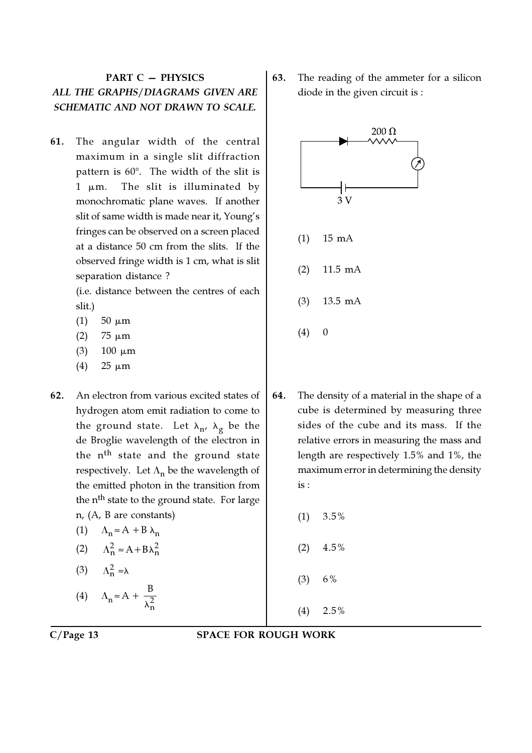## PART C — PHYSICS ALL THE GRAPHS/DIAGRAMS GIVEN ARE SCHEMATIC AND NOT DRAWN TO SCALE.

61. The angular width of the central maximum in a single slit diffraction pattern is  $60^\circ$ . The width of the slit is 1 µm. The slit is illuminated by monochromatic plane waves. If another slit of same width is made near it, Young's fringes can be observed on a screen placed at a distance 50 cm from the slits. If the observed fringe width is 1 cm, what is slit separation distance ?

> (i.e. distance between the centres of each slit.)

- (1) 50  $\mu$ m
- (2)  $75 \mu m$
- (3)  $100 \mu m$
- (4)  $25 \mu m$
- 62. An electron from various excited states of hydrogen atom emit radiation to come to the ground state. Let  $\lambda_{\bf n'}^{\phantom{\dag}}$   $\lambda_{\bf g}^{\phantom{\dag}}$  be the de Broglie wavelength of the electron in the n<sup>th</sup> state and the ground state respectively. Let  $\Lambda_{\bf n}$  be the wavelength of the emitted photon in the transition from the n<sup>th</sup> state to the ground state. For large n, (A, B are constants)
	- (1)  $\Lambda_n \approx A + B \lambda_n$ (2)  $\Lambda_n^2 \approx A + B \lambda_n^2$ (3)  $\Lambda_n^2 \approx \lambda$ (4)  $\Lambda_n \approx A + \frac{B}{\lambda_n^2}$ B λ

63. The reading of the ammeter for a silicon diode in the given circuit is :



- 64. The density of a material in the shape of a cube is determined by measuring three sides of the cube and its mass. If the relative errors in measuring the mass and length are respectively 1.5% and 1%, the maximum error in determining the density is :
	- $(1)$  3.5%
	- $(2)$  4.5%
	- $(3)$  6%
	- $(4)$  2.5%

### C/Page 13 SPACE FOR ROUGH WORK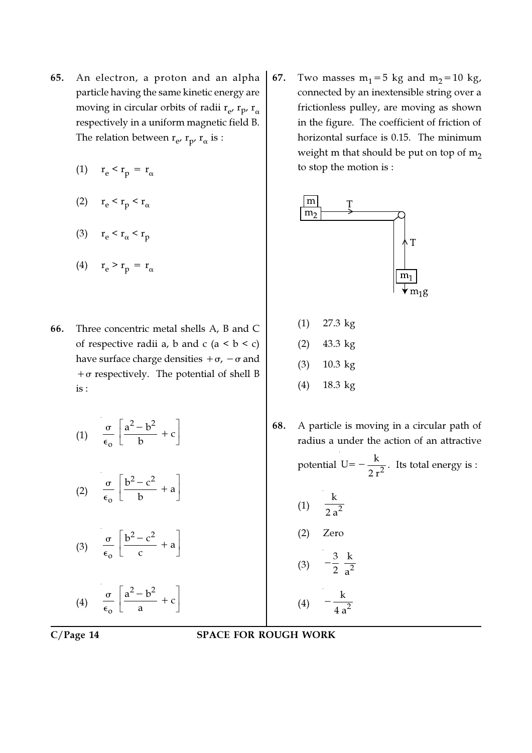- 65. An electron, a proton and an alpha particle having the same kinetic energy are moving in circular orbits of radii  $\rm r_{e^\prime}$   $\rm r_{p^\prime}$   $\rm r_\alpha$ respectively in a uniform magnetic field B. The relation between  $\rm r_{e^\prime}$   $\rm r_{p^\prime}$   $\rm r_\alpha$  is :
	- (1)  $r_e < r_p = r_\alpha$
	- (2)  $r_e < r_p < r_\alpha$
	- (3)  $r_e < r_\alpha < r_p$
	- (4)  $r_e > r_p = r_\alpha$
- 66. Three concentric metal shells A, B and C of respective radii a, b and c  $(a < b < c)$ have surface charge densities  $+\sigma$ ,  $-\sigma$  and  $+\sigma$  respectively. The potential of shell B is :
	- (1)  $2 \t1.2$ o  $\frac{a^2-b^2}{a}+c$ b  $\begin{bmatrix} a^2 - b^2 \end{bmatrix}$  $\left[\frac{a}{b} + c\right]$  $\frac{\sigma}{\sigma}$   $\frac{a^2-b^2}{a}$  +  $\epsilon$
	- (2) 2 2 o  $\frac{b^2-c^2}{2}+a$ b  $\begin{bmatrix} b^2 - c^2 \end{bmatrix}$  $\left[\frac{b}{b}+a\right]$  $\frac{\sigma}{\sigma}$   $\frac{b^2-c^2}{\sigma}$  +  $\epsilon$
	- (3) 2 2 o  $\frac{b^2-c^2}{a}+a$ c  $\begin{bmatrix} b^2 - c^2 \end{bmatrix}$  $\left[\frac{b}{c} + a\right]$  $\frac{\sigma}{\sigma}$   $\frac{b^2-c^2}{+}$  $\epsilon$
	- (4)  $2 \t1.2$ o  $\frac{a^2-b^2}{a}+c$ a  $\begin{bmatrix} a^2 - b^2 \end{bmatrix}$  $\left[\frac{a}{a} + c\right]$  $\frac{\sigma}{\sigma}$   $\frac{a^2-b^2}{a}$  +  $\epsilon$

67. Two masses  $m_1=5$  kg and  $m_2=10$  kg, connected by an inextensible string over a frictionless pulley, are moving as shown in the figure. The coefficient of friction of horizontal surface is 0.15. The minimum weight m that should be put on top of  $m<sub>2</sub>$ to stop the motion is :



- (1) 27.3 kg
- (2) 43.3 kg
- (3) 10.3 kg
- (4) 18.3 kg
- 68. A particle is moving in a circular path of radius a under the action of an attractive potential  $U=-\frac{R}{2a^2}$  $U = -\frac{k}{\sqrt{2}}$  $I=-\frac{R}{2 r^2}$ . Its total energy is :  $(1) \quad \frac{1}{2}$ k 2 a (2) Zero (3)  $-\frac{3}{2}$   $\frac{k}{2}$ 2 a  $(4)$   $-\frac{1}{12}$ k 4 a −

### C/Page 14 SPACE FOR ROUGH WORK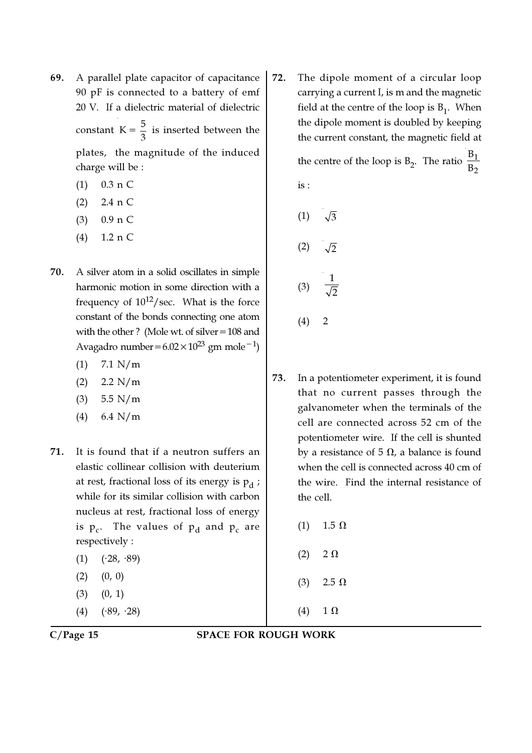- 69. A parallel plate capacitor of capacitance 90 pF is connected to a battery of emf 20 V. If a dielectric material of dielectric constant  $K = \frac{5}{3}$  $=\frac{3}{3}$  is inserted between the plates, the magnitude of the induced charge will be :
	- (1) 0.3 n C
	- (2) 2.4 n C
	- (3) 0.9 n C
	- (4) 1.2 n C
- 70. A silver atom in a solid oscillates in simple harmonic motion in some direction with a frequency of  $10^{12}/\text{sec}$ . What is the force constant of the bonds connecting one atom with the other ? (Mole wt. of silver=108 and Avagadro number=6.02×10<sup>23</sup> gm mole<sup>-1</sup>)
	- $(1)$  7.1 N/m
	- $(2)$  2.2 N/m
	- (3) 5.5 N/m
	- (4) 6.4 N/m
- 71. It is found that if a neutron suffers an elastic collinear collision with deuterium at rest, fractional loss of its energy is  $\bm{{\mathsf{p}}}_{\text{d}}$  ; while for its similar collision with carbon nucleus at rest, fractional loss of energy is  $p_c$ . The values of  $p_d$  and  $p_c$  are respectively :
	- $(1)$   $(·28, ·89)$
	- $(2)$   $(0, 0)$
	- $(3)$   $(0, 1)$
	- $(4)$   $(*89, *28)$

72. The dipole moment of a circular loop carrying a current I, is m and the magnetic field at the centre of the loop is  $B_1$ . When the dipole moment is doubled by keeping the current constant, the magnetic field at B

the centre of the loop is  $B_2$ . The ratio  $\frac{B_1}{B_2}$  $\overline{\mathbf{B}}$ is :

$$
(1) \quad \sqrt{3}
$$
\n
$$
(2) \quad \sqrt{2}
$$
\n
$$
(3) \quad \frac{1}{\sqrt{2}}
$$

- $(4) 2$
- 73. In a potentiometer experiment, it is found that no current passes through the galvanometer when the terminals of the cell are connected across 52 cm of the potentiometer wire. If the cell is shunted by a resistance of 5  $\Omega$ , a balance is found when the cell is connected across 40 cm of the wire. Find the internal resistance of the cell.
	- (1)  $1.5 Ω$
	- $(2)$  2  $\Omega$
	- (3)  $2.5 \Omega$
	- (4)  $1 \Omega$

C/Page 15 SPACE FOR ROUGH WORK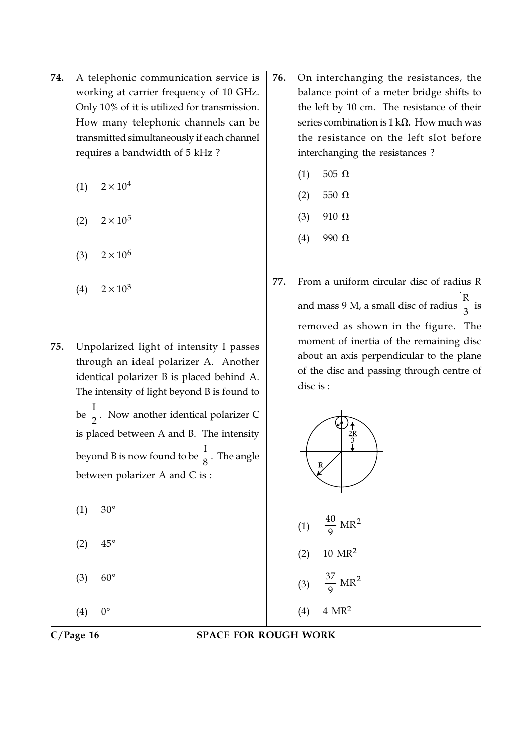- 74. A telephonic communication service is working at carrier frequency of 10 GHz. Only 10% of it is utilized for transmission. How many telephonic channels can be transmitted simultaneously if each channel requires a bandwidth of 5 kHz ?
	- $(1)$  2×10<sup>4</sup>
	- $(2)$  2×10<sup>5</sup>
	- $(3)$  2×10<sup>6</sup>
	- $(4)$  2×10<sup>3</sup>
- 75. Unpolarized light of intensity I passes through an ideal polarizer A. Another identical polarizer B is placed behind A. The intensity of light beyond B is found to be I  $\frac{1}{2}$ . Now another identical polarizer C is placed between A and B. The intensity beyond B is now found to be I  $_{8}^{-}$  . The angle between polarizer A and C is :
	- $(1) 30^{\circ}$
	- $(2)$  45°
	- $(3) 60^{\circ}$
	- $(4) 0^{\circ}$
- 76. On interchanging the resistances, the balance point of a meter bridge shifts to the left by 10 cm. The resistance of their series combination is  $1 \text{ k}\Omega$ . How much was the resistance on the left slot before interchanging the resistances ?
	- (1) 505  $\Omega$
	- $(2)$  550  $\Omega$
	- (3) 910  $\Omega$
	- $(4)$  990  $\Omega$
- 77. From a uniform circular disc of radius R and mass 9 M, a small disc of radius R  $\frac{1}{3}$  is removed as shown in the figure. The moment of inertia of the remaining disc about an axis perpendicular to the plane of the disc and passing through centre of disc is :



### C/Page 16 SPACE FOR ROUGH WORK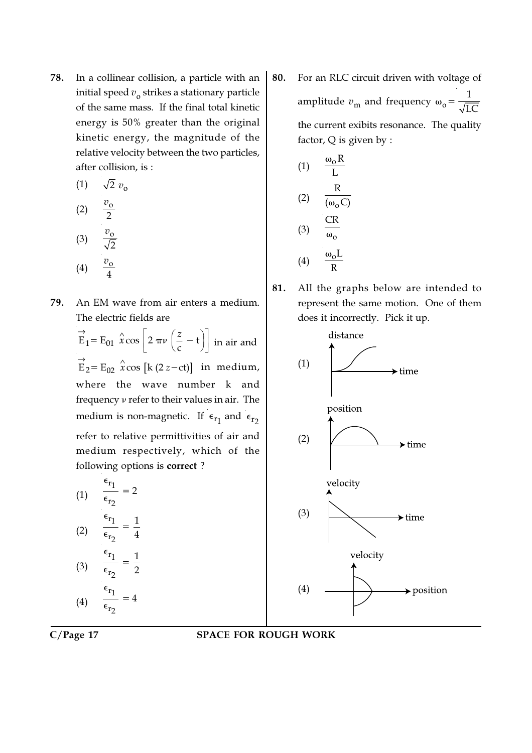78. In a collinear collision, a particle with an initial speed  $v_{\rm o}$  strikes a stationary particle of the same mass. If the final total kinetic energy is 50% greater than the original kinetic energy, the magnitude of the relative velocity between the two particles, after collision, is :

(1) 
$$
\sqrt{2} v_0
$$
  
\n(2)  $\frac{v_0}{2}$   
\n(3)  $\frac{v_0}{\sqrt{2}}$   
\n(4)  $\frac{v_0}{4}$ 

79. An EM wave from air enters a medium. The electric fields are

> $\mathbf{E}_1 = \mathbf{E}_{01} \left| \hat{x} \cos \right| 2 \pi \nu \left( \frac{2}{c} - \mathbf{t} \right)$  $\vec{E}_1 = E_{01} \hat{x} \cos \left[ 2 \pi \nu \left( \frac{z}{c} - t \right) \right]$  in air and  $\overrightarrow{E}_2 = E_{02} \stackrel{\wedge}{x} \cos [k (2 z - ct)]$  in medium, where the wave number k and frequency ν refer to their values in air. The medium is non-magnetic. If  $\epsilon_{r_1}$  and  $\epsilon_{r_2}$ refer to relative permittivities of air and medium respectively, which of the following options is correct ?

(1) 
$$
\frac{\epsilon_{r_1}}{\epsilon_{r_2}} = 2
$$
  
\n(2) 
$$
\frac{\epsilon_{r_1}}{\epsilon_{r_2}} = \frac{1}{4}
$$
  
\n(3) 
$$
\frac{\epsilon_{r_1}}{\epsilon_{r_2}} = \frac{1}{2}
$$
  
\n(4) 
$$
\frac{\epsilon_{r_1}}{\epsilon_{r_2}} = 4
$$

80. For an RLC circuit driven with voltage of amplitude  $v_{\rm m}$  and frequency  $\omega_{\rm o}$ = 1 LC the current exibits resonance. The quality factor, Q is given by :

(1) 
$$
\frac{\omega_0 R}{L}
$$
  
\n(2)  $\frac{R}{(\omega_0 C)}$   
\n(3)  $\frac{CR}{\omega_0}$   
\n(4)  $\frac{\omega_0 L}{R}$ 

81. All the graphs below are intended to represent the same motion. One of them does it incorrectly. Pick it up.



### C/Page 17 SPACE FOR ROUGH WORK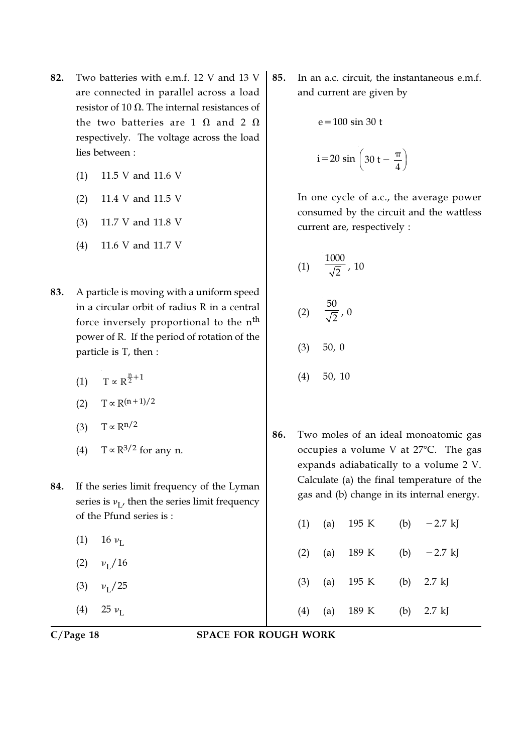- 82. Two batteries with e.m.f. 12 V and 13 V are connected in parallel across a load resistor of 10  $\Omega$ . The internal resistances of the two batteries are 1  $\Omega$  and 2  $\Omega$ respectively. The voltage across the load lies between :
	- (1) 11.5 V and 11.6 V
	- (2) 11.4 V and 11.5 V
	- (3) 11.7 V and 11.8 V
	- (4) 11.6 V and 11.7 V
- 83. A particle is moving with a uniform speed in a circular orbit of radius R in a central force inversely proportional to the n<sup>th</sup> power of R. If the period of rotation of the particle is T, then :
	- (1)  $T \propto R^{\frac{n}{2} + 1}$
	- (2)  $T \propto R^{(n+1)/2}$
	- (3) T  $\propto$  R<sup>n/2</sup>
	- (4) T  $\propto$  R<sup>3/2</sup> for any n.
- 84. If the series limit frequency of the Lyman series is  $v_{\mathrm{L}}$ , then the series limit frequency of the Pfund series is :
	- (1) 16  $\nu_{\rm L}$
	- (2)  $v_L/16$
	- $(3)$  $\nu_{\rm I}$  / 25
	- (4) 25  $\nu_{\rm L}$

85. In an a.c. circuit, the instantaneous e.m.f. and current are given by

$$
e = 100 \sin 30 t
$$

$$
i = 20 \sin \left(30 t - \frac{\pi}{4}\right)
$$

In one cycle of a.c., the average power consumed by the circuit and the wattless current are, respectively :

(1) 
$$
\frac{1000}{\sqrt{2}}
$$
, 10  
\n(2)  $\frac{50}{\sqrt{2}}$ , 0  
\n(3) 50, 0  
\n(4) 50, 10

86. Two moles of an ideal monoatomic gas occupies a volume V at  $27^{\circ}$ C. The gas expands adiabatically to a volume 2 V. Calculate (a) the final temperature of the gas and (b) change in its internal energy.

|  | (1) (a) 195 K (b) $-2.7$ kJ                   |  |  |
|--|-----------------------------------------------|--|--|
|  | (2) (a) $189 \text{ K}$ (b) $-2.7 \text{ kJ}$ |  |  |
|  | (3) (a) $195 \text{ K}$ (b) $2.7 \text{ kJ}$  |  |  |
|  | (4) (a) $189 \text{ K}$ (b) $2.7 \text{ kJ}$  |  |  |

C/Page 18 SPACE FOR ROUGH WORK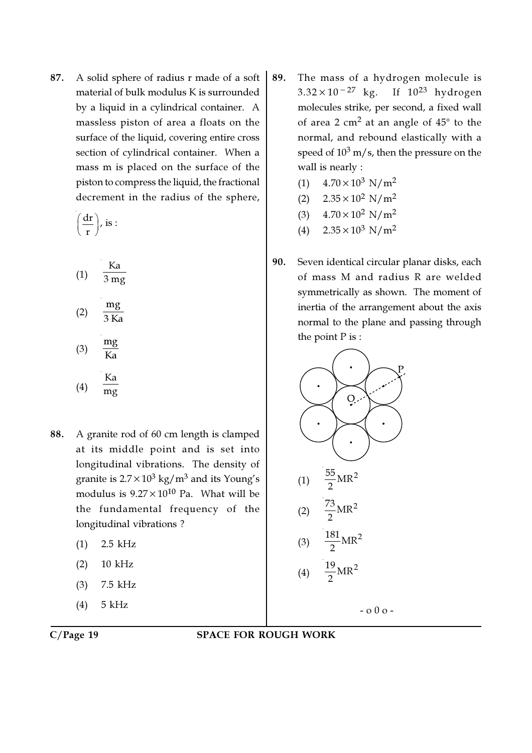87. A solid sphere of radius r made of a soft material of bulk modulus K is surrounded by a liquid in a cylindrical container. A massless piston of area a floats on the surface of the liquid, covering entire cross section of cylindrical container. When a mass m is placed on the surface of the piston to compress the liquid, the fractional decrement in the radius of the sphere,

$$
\bigg(\frac{dr}{r}\bigg),\,is:
$$

(1) 
$$
\frac{\text{Ka}}{3 \text{ mg}}
$$
  
\n(2)  $\frac{\text{mg}}{3 \text{ Ka}}$   
\n(3)  $\frac{\text{mg}}{\text{Ka}}$   
\n(4)  $\frac{\text{Ka}}{\text{mg}}$ 

mg

- 88. A granite rod of 60 cm length is clamped at its middle point and is set into longitudinal vibrations. The density of granite is 2.7 $\times 10^3$  kg/m $^3$  and its Young's modulus is  $9.27 \times 10^{10}$  Pa. What will be the fundamental frequency of the longitudinal vibrations ?
	- (1) 2.5 kHz
	- (2) 10 kHz
	- (3) 7.5 kHz
	- (4) 5 kHz

- 89. The mass of a hydrogen molecule is  $3.32 \times 10^{-27}$  kg. If  $10^{23}$  hydrogen molecules strike, per second, a fixed wall of area 2  $\rm cm^2$  at an angle of  $45^\circ$  to the normal, and rebound elastically with a speed of  $10^3$  m/s, then the pressure on the wall is nearly :
	- (1)  $4.70 \times 10^3$  N/m<sup>2</sup>
	- (2)  $2.35 \times 10^2$  N/m<sup>2</sup>
	- (3)  $4.70 \times 10^2$  N/m<sup>2</sup>
	- (4)  $2.35 \times 10^3$  N/m<sup>2</sup>
- 90. Seven identical circular planar disks, each of mass M and radius R are welded symmetrically as shown. The moment of inertia of the arrangement about the axis normal to the plane and passing through the point P is :



### C/Page 19 SPACE FOR ROUGH WORK